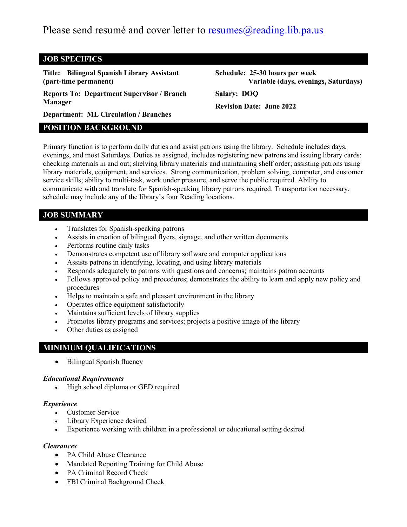Please send resumé and cover letter to resumes  $\omega$  reading. lib.pa.us

### **JOB SPECIFICS**

**Title: Bilingual Spanish Library Assistant (part-time permanent)**

**Reports To: Department Supervisor / Branch Manager**

**Schedule: 25-30 hours per week Variable (days, evenings, Saturdays)**

**Salary: DOQ**

**Revision Date: June 2022**

**Department: ML Circulation / Branches**

## **POSITION BACKGROUND**

Primary function is to perform daily duties and assist patrons using the library. Schedule includes days, evenings, and most Saturdays. Duties as assigned, includes registering new patrons and issuing library cards: checking materials in and out; shelving library materials and maintaining shelf order; assisting patrons using library materials, equipment, and services. Strong communication, problem solving, computer, and customer service skills; ability to multi-task, work under pressure, and serve the public required. Ability to communicate with and translate for Spanish-speaking library patrons required. Transportation necessary, schedule may include any of the library's four Reading locations.

## **JOB SUMMARY**

- Translates for Spanish-speaking patrons
- Assists in creation of bilingual flyers, signage, and other written documents
- Performs routine daily tasks
- Demonstrates competent use of library software and computer applications
- Assists patrons in identifying, locating, and using library materials
- Responds adequately to patrons with questions and concerns; maintains patron accounts
- Follows approved policy and procedures; demonstrates the ability to learn and apply new policy and procedures
- Helps to maintain a safe and pleasant environment in the library
- Operates office equipment satisfactorily
- Maintains sufficient levels of library supplies
- Promotes library programs and services; projects a positive image of the library
- Other duties as assigned

## **MINIMUM QUALIFICATIONS**

• Bilingual Spanish fluency

#### *Educational Requirements*

• High school diploma or GED required

#### *Experience*

- Customer Service
- Library Experience desired
- Experience working with children in a professional or educational setting desired

#### *Clearances*

- PA Child Abuse Clearance
- Mandated Reporting Training for Child Abuse
- PA Criminal Record Check
- FBI Criminal Background Check